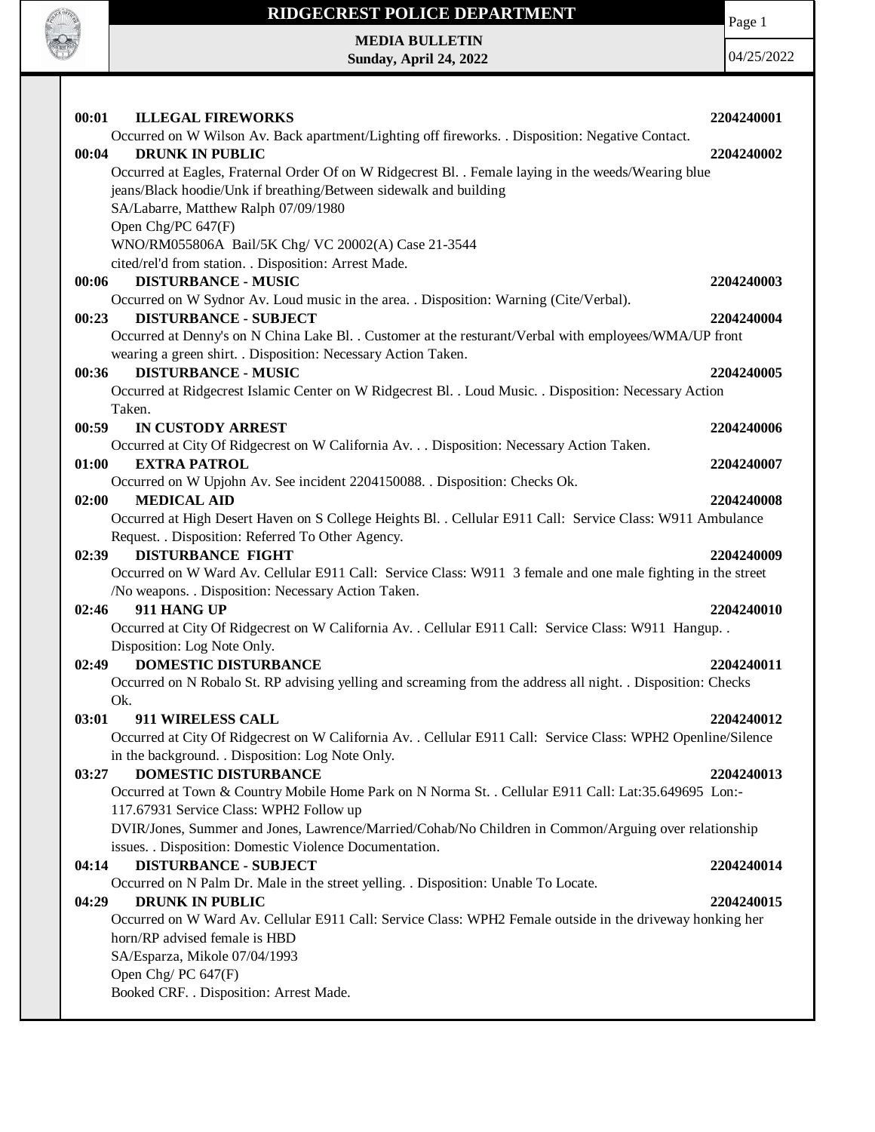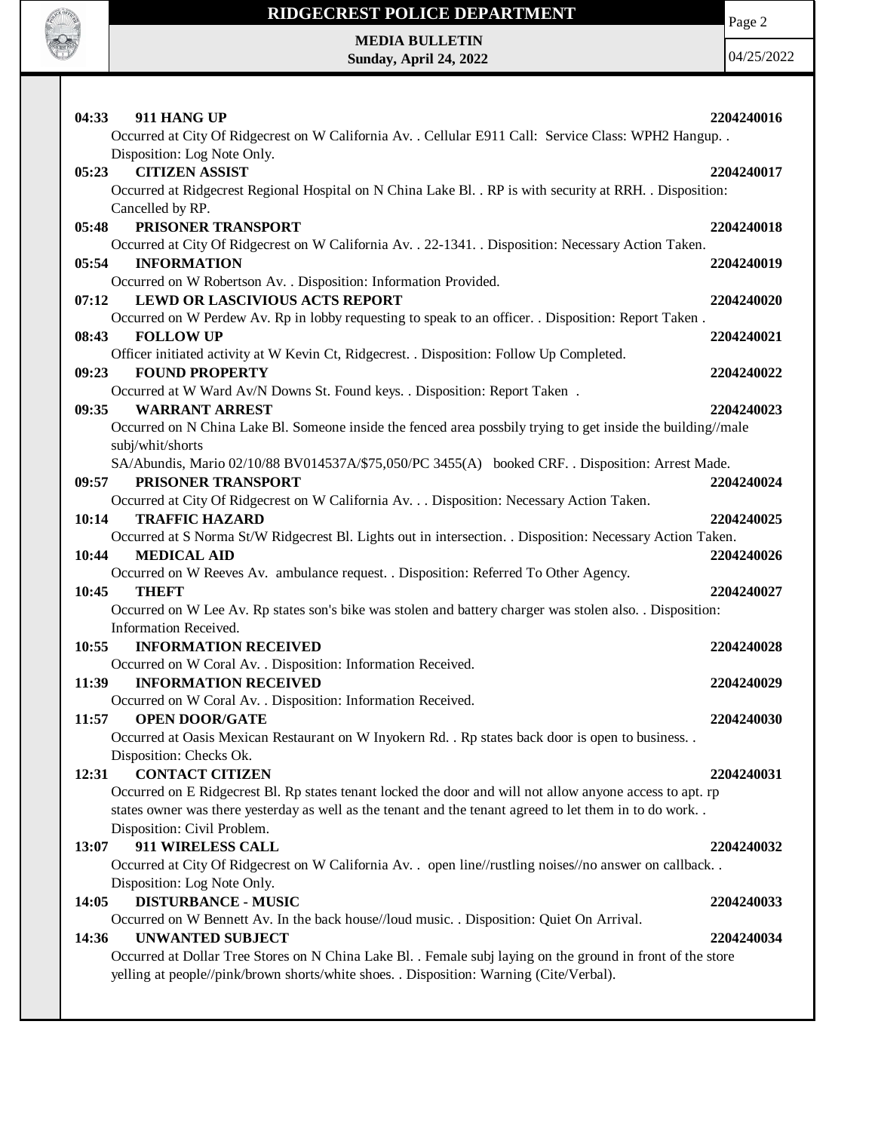

# **RIDGECREST POLICE DEPARTMENT**

Page 2

**MEDIA BULLETIN Sunday, April 24, 2022**

04/25/2022

| 04:33 | 911 HANG UP                                                                                                          | 2204240016 |
|-------|----------------------------------------------------------------------------------------------------------------------|------------|
|       | Occurred at City Of Ridgecrest on W California Av. . Cellular E911 Call: Service Class: WPH2 Hangup. .               |            |
|       | Disposition: Log Note Only.                                                                                          |            |
| 05:23 | <b>CITIZEN ASSIST</b>                                                                                                | 2204240017 |
|       | Occurred at Ridgecrest Regional Hospital on N China Lake Bl. . RP is with security at RRH. . Disposition:            |            |
|       | Cancelled by RP.                                                                                                     |            |
| 05:48 | PRISONER TRANSPORT                                                                                                   | 2204240018 |
|       | Occurred at City Of Ridgecrest on W California Av. . 22-1341. . Disposition: Necessary Action Taken.                 |            |
| 05:54 | <b>INFORMATION</b>                                                                                                   | 2204240019 |
|       | Occurred on W Robertson Av. . Disposition: Information Provided.                                                     |            |
| 07:12 | <b>LEWD OR LASCIVIOUS ACTS REPORT</b>                                                                                | 2204240020 |
|       | Occurred on W Perdew Av. Rp in lobby requesting to speak to an officer. . Disposition: Report Taken.                 |            |
| 08:43 | <b>FOLLOW UP</b>                                                                                                     | 2204240021 |
|       | Officer initiated activity at W Kevin Ct, Ridgecrest. . Disposition: Follow Up Completed.                            |            |
| 09:23 | <b>FOUND PROPERTY</b>                                                                                                | 2204240022 |
|       | Occurred at W Ward Av/N Downs St. Found keys. . Disposition: Report Taken.                                           |            |
| 09:35 | <b>WARRANT ARREST</b>                                                                                                | 2204240023 |
|       | Occurred on N China Lake Bl. Someone inside the fenced area possbily trying to get inside the building//male         |            |
|       | subj/whit/shorts<br>SA/Abundis, Mario 02/10/88 BV014537A/\$75,050/PC 3455(A) booked CRF. . Disposition: Arrest Made. |            |
| 09:57 | PRISONER TRANSPORT                                                                                                   | 2204240024 |
|       | Occurred at City Of Ridgecrest on W California Av. Disposition: Necessary Action Taken.                              |            |
| 10:14 | <b>TRAFFIC HAZARD</b>                                                                                                | 2204240025 |
|       | Occurred at S Norma St/W Ridgecrest Bl. Lights out in intersection. . Disposition: Necessary Action Taken.           |            |
| 10:44 | <b>MEDICAL AID</b>                                                                                                   | 2204240026 |
|       | Occurred on W Reeves Av. ambulance request. . Disposition: Referred To Other Agency.                                 |            |
| 10:45 | THEFT                                                                                                                | 2204240027 |
|       | Occurred on W Lee Av. Rp states son's bike was stolen and battery charger was stolen also. . Disposition:            |            |
|       | Information Received.                                                                                                |            |
| 10:55 | <b>INFORMATION RECEIVED</b>                                                                                          | 2204240028 |
|       | Occurred on W Coral Av. . Disposition: Information Received.                                                         |            |
| 11:39 | <b>INFORMATION RECEIVED</b>                                                                                          | 2204240029 |
|       | Occurred on W Coral Av. . Disposition: Information Received.                                                         |            |
| 11:57 | <b>OPEN DOOR/GATE</b>                                                                                                | 2204240030 |
|       | Occurred at Oasis Mexican Restaurant on W Inyokern Rd. . Rp states back door is open to business. .                  |            |
|       | Disposition: Checks Ok.                                                                                              |            |
| 12:31 | <b>CONTACT CITIZEN</b>                                                                                               | 2204240031 |
|       | Occurred on E Ridgecrest Bl. Rp states tenant locked the door and will not allow anyone access to apt. rp            |            |
|       | states owner was there yesterday as well as the tenant and the tenant agreed to let them in to do work               |            |
|       | Disposition: Civil Problem.                                                                                          |            |
| 13:07 | 911 WIRELESS CALL                                                                                                    | 2204240032 |
|       | Occurred at City Of Ridgecrest on W California Av. . open line//rustling noises//no answer on callback               |            |
|       | Disposition: Log Note Only.                                                                                          |            |
| 14:05 | <b>DISTURBANCE - MUSIC</b>                                                                                           | 2204240033 |
| 14:36 | Occurred on W Bennett Av. In the back house//loud music. . Disposition: Quiet On Arrival.<br><b>UNWANTED SUBJECT</b> | 2204240034 |
|       | Occurred at Dollar Tree Stores on N China Lake Bl. . Female subj laying on the ground in front of the store          |            |
|       | yelling at people//pink/brown shorts/white shoes. . Disposition: Warning (Cite/Verbal).                              |            |
|       |                                                                                                                      |            |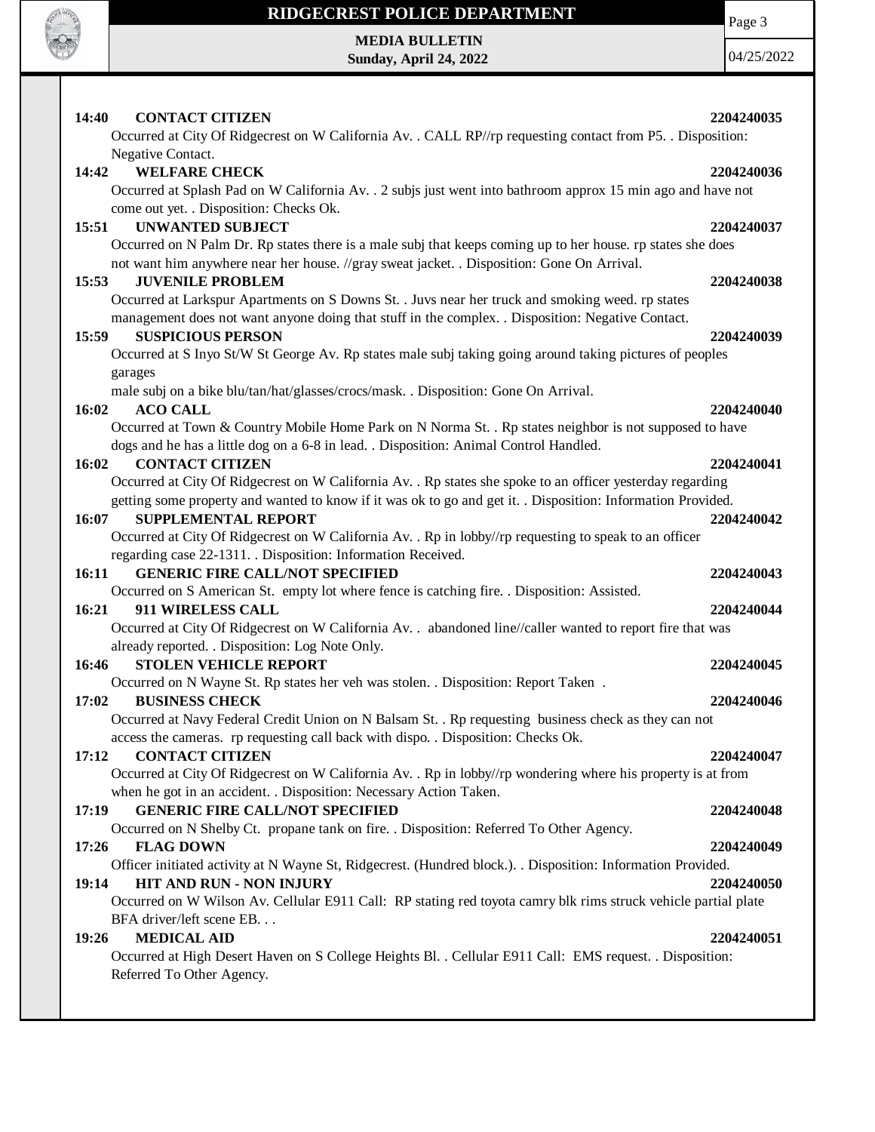

### **RIDGECREST POLICE DEPARTMENT MEDIA BULLETIN**

**Sunday, April 24, 2022**

Page 3

04/25/2022

| 14:40<br><b>CONTACT CITIZEN</b><br>2204240035                                                                               |  |
|-----------------------------------------------------------------------------------------------------------------------------|--|
| Occurred at City Of Ridgecrest on W California Av. . CALL RP//rp requesting contact from P5. . Disposition:                 |  |
| Negative Contact.                                                                                                           |  |
| 14:42 WELFARE CHECK<br>2204240036                                                                                           |  |
| Occurred at Splash Pad on W California Av. . 2 subjs just went into bathroom approx 15 min ago and have not                 |  |
| come out yet. . Disposition: Checks Ok.                                                                                     |  |
| 15:51<br><b>UNWANTED SUBJECT</b><br>2204240037                                                                              |  |
| Occurred on N Palm Dr. Rp states there is a male subj that keeps coming up to her house. rp states she does                 |  |
| not want him anywhere near her house. //gray sweat jacket. . Disposition: Gone On Arrival.                                  |  |
| <b>JUVENILE PROBLEM</b><br>15:53<br>2204240038                                                                              |  |
| Occurred at Larkspur Apartments on S Downs St. . Juvs near her truck and smoking weed. rp states                            |  |
| management does not want anyone doing that stuff in the complex. . Disposition: Negative Contact.                           |  |
| <b>SUSPICIOUS PERSON</b><br>15:59<br>2204240039                                                                             |  |
| Occurred at S Inyo St/W St George Av. Rp states male subj taking going around taking pictures of peoples                    |  |
| garages                                                                                                                     |  |
| male subj on a bike blu/tan/hat/glasses/crocs/mask. . Disposition: Gone On Arrival.                                         |  |
| 16:02<br><b>ACO CALL</b><br>2204240040                                                                                      |  |
| Occurred at Town & Country Mobile Home Park on N Norma St. . Rp states neighbor is not supposed to have                     |  |
| dogs and he has a little dog on a 6-8 in lead. . Disposition: Animal Control Handled.                                       |  |
| 16:02<br><b>CONTACT CITIZEN</b><br>2204240041                                                                               |  |
| Occurred at City Of Ridgecrest on W California Av. . Rp states she spoke to an officer yesterday regarding                  |  |
| getting some property and wanted to know if it was ok to go and get it. . Disposition: Information Provided.                |  |
| 16:07<br><b>SUPPLEMENTAL REPORT</b><br>2204240042                                                                           |  |
| Occurred at City Of Ridgecrest on W California Av. . Rp in lobby//rp requesting to speak to an officer                      |  |
| regarding case 22-1311. Disposition: Information Received.<br><b>GENERIC FIRE CALL/NOT SPECIFIED</b><br>16:11<br>2204240043 |  |
| Occurred on S American St. empty lot where fence is catching fire. . Disposition: Assisted.                                 |  |
| 911 WIRELESS CALL<br>16:21<br>2204240044                                                                                    |  |
| Occurred at City Of Ridgecrest on W California Av. . abandoned line//caller wanted to report fire that was                  |  |
| already reported. . Disposition: Log Note Only.                                                                             |  |
| 16:46<br><b>STOLEN VEHICLE REPORT</b><br>2204240045                                                                         |  |
| Occurred on N Wayne St. Rp states her veh was stolen. . Disposition: Report Taken.                                          |  |
| <b>BUSINESS CHECK</b><br>17:02<br>2204240046                                                                                |  |
| Occurred at Navy Federal Credit Union on N Balsam St. . Rp requesting business check as they can not                        |  |
| access the cameras. rp requesting call back with dispo. . Disposition: Checks Ok.                                           |  |
| <b>CONTACT CITIZEN</b><br>17:12<br>2204240047                                                                               |  |
| Occurred at City Of Ridgecrest on W California Av. . Rp in lobby//rp wondering where his property is at from                |  |
| when he got in an accident. . Disposition: Necessary Action Taken.                                                          |  |
| <b>GENERIC FIRE CALL/NOT SPECIFIED</b><br>17:19<br>2204240048                                                               |  |
| Occurred on N Shelby Ct. propane tank on fire. . Disposition: Referred To Other Agency.                                     |  |
| 17:26<br><b>FLAG DOWN</b><br>2204240049                                                                                     |  |
| Officer initiated activity at N Wayne St, Ridgecrest. (Hundred block.). . Disposition: Information Provided.                |  |
| 19:14<br><b>HIT AND RUN - NON INJURY</b><br>2204240050                                                                      |  |
| Occurred on W Wilson Av. Cellular E911 Call: RP stating red toyota camry blk rims struck vehicle partial plate              |  |
| BFA driver/left scene EB                                                                                                    |  |
| <b>MEDICAL AID</b><br>19:26<br>2204240051                                                                                   |  |
| Occurred at High Desert Haven on S College Heights Bl. . Cellular E911 Call: EMS request. . Disposition:                    |  |
| Referred To Other Agency.                                                                                                   |  |
|                                                                                                                             |  |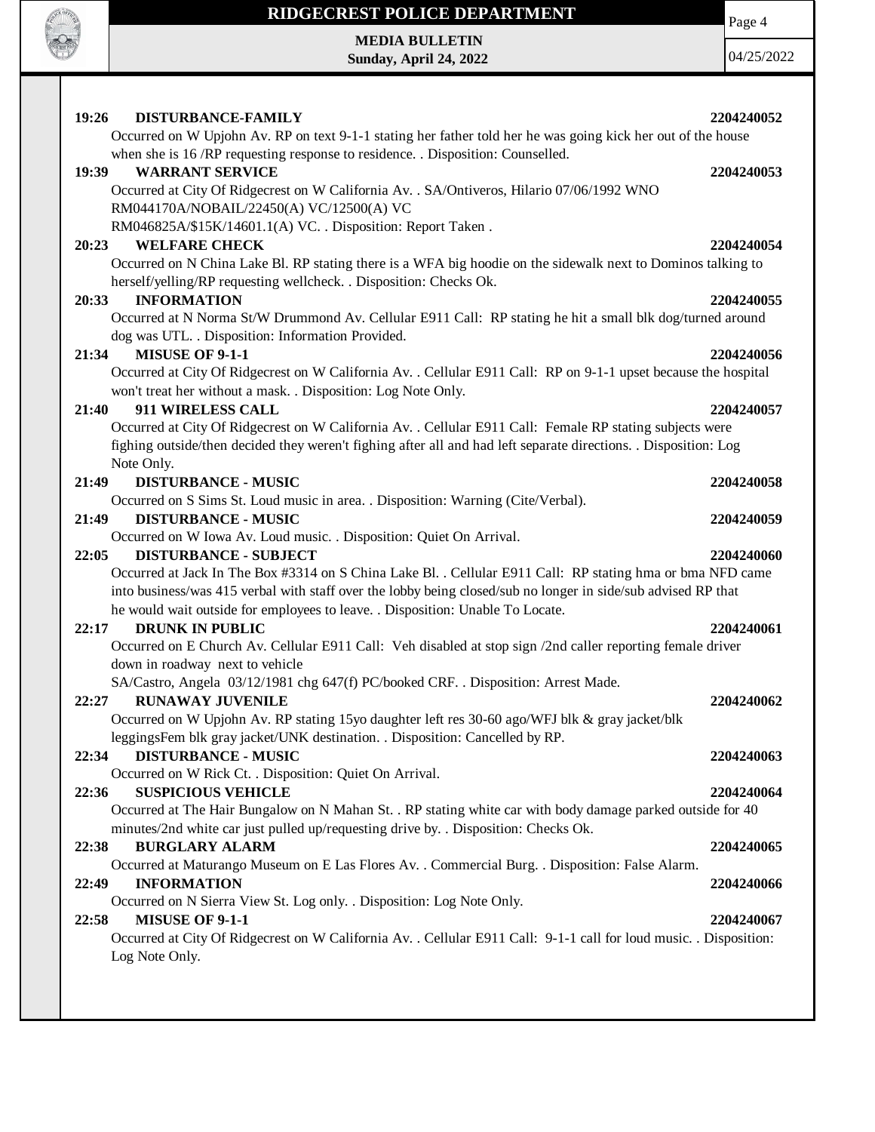

# **RIDGECREST POLICE DEPARTMENT**

**MEDIA BULLETIN Sunday, April 24, 2022** Page 4

04/25/2022

| 19:26<br>DISTURBANCE-FAMILY<br>2204240052                                                                                                                                                                                                                                                                     |  |
|---------------------------------------------------------------------------------------------------------------------------------------------------------------------------------------------------------------------------------------------------------------------------------------------------------------|--|
| Occurred on W Upjohn Av. RP on text 9-1-1 stating her father told her he was going kick her out of the house                                                                                                                                                                                                  |  |
| when she is 16 /RP requesting response to residence. . Disposition: Counselled.                                                                                                                                                                                                                               |  |
| <b>WARRANT SERVICE</b><br>19:39<br>2204240053                                                                                                                                                                                                                                                                 |  |
| Occurred at City Of Ridgecrest on W California Av. . SA/Ontiveros, Hilario 07/06/1992 WNO                                                                                                                                                                                                                     |  |
| RM044170A/NOBAIL/22450(A) VC/12500(A) VC                                                                                                                                                                                                                                                                      |  |
| RM046825A/\$15K/14601.1(A) VC. . Disposition: Report Taken.                                                                                                                                                                                                                                                   |  |
| 20:23<br><b>WELFARE CHECK</b><br>2204240054                                                                                                                                                                                                                                                                   |  |
| Occurred on N China Lake Bl. RP stating there is a WFA big hoodie on the sidewalk next to Dominos talking to<br>herself/yelling/RP requesting wellcheck. . Disposition: Checks Ok.                                                                                                                            |  |
| <b>INFORMATION</b><br>20:33<br>2204240055                                                                                                                                                                                                                                                                     |  |
| Occurred at N Norma St/W Drummond Av. Cellular E911 Call: RP stating he hit a small blk dog/turned around                                                                                                                                                                                                     |  |
| dog was UTL. . Disposition: Information Provided.                                                                                                                                                                                                                                                             |  |
| <b>MISUSE OF 9-1-1</b><br>21:34<br>2204240056                                                                                                                                                                                                                                                                 |  |
| Occurred at City Of Ridgecrest on W California Av. . Cellular E911 Call: RP on 9-1-1 upset because the hospital                                                                                                                                                                                               |  |
| won't treat her without a mask. . Disposition: Log Note Only.                                                                                                                                                                                                                                                 |  |
| 911 WIRELESS CALL<br>21:40<br>2204240057                                                                                                                                                                                                                                                                      |  |
| Occurred at City Of Ridgecrest on W California Av. . Cellular E911 Call: Female RP stating subjects were                                                                                                                                                                                                      |  |
| fighing outside/then decided they weren't fighing after all and had left separate directions. Disposition: Log                                                                                                                                                                                                |  |
| Note Only.                                                                                                                                                                                                                                                                                                    |  |
| 21:49<br><b>DISTURBANCE - MUSIC</b><br>2204240058                                                                                                                                                                                                                                                             |  |
| Occurred on S Sims St. Loud music in area. . Disposition: Warning (Cite/Verbal).                                                                                                                                                                                                                              |  |
| 21:49<br><b>DISTURBANCE - MUSIC</b><br>2204240059                                                                                                                                                                                                                                                             |  |
| Occurred on W Iowa Av. Loud music. . Disposition: Quiet On Arrival.                                                                                                                                                                                                                                           |  |
| 22:05<br><b>DISTURBANCE - SUBJECT</b><br>2204240060                                                                                                                                                                                                                                                           |  |
| Occurred at Jack In The Box #3314 on S China Lake Bl. . Cellular E911 Call: RP stating hma or bma NFD came<br>into business/was 415 verbal with staff over the lobby being closed/sub no longer in side/sub advised RP that<br>he would wait outside for employees to leave. . Disposition: Unable To Locate. |  |
| <b>DRUNK IN PUBLIC</b><br>2204240061<br>22:17                                                                                                                                                                                                                                                                 |  |
| Occurred on E Church Av. Cellular E911 Call: Veh disabled at stop sign /2nd caller reporting female driver                                                                                                                                                                                                    |  |
| down in roadway next to vehicle                                                                                                                                                                                                                                                                               |  |
| SA/Castro, Angela 03/12/1981 chg 647(f) PC/booked CRF. . Disposition: Arrest Made.                                                                                                                                                                                                                            |  |
| 22:27<br><b>RUNAWAY JUVENILE</b><br>2204240062                                                                                                                                                                                                                                                                |  |
| Occurred on W Upjohn Av. RP stating 15yo daughter left res 30-60 ago/WFJ blk & gray jacket/blk                                                                                                                                                                                                                |  |
| leggingsFem blk gray jacket/UNK destination. . Disposition: Cancelled by RP.                                                                                                                                                                                                                                  |  |
| 22:34<br>2204240063<br><b>DISTURBANCE - MUSIC</b>                                                                                                                                                                                                                                                             |  |
| Occurred on W Rick Ct. . Disposition: Quiet On Arrival.                                                                                                                                                                                                                                                       |  |
| 22:36<br><b>SUSPICIOUS VEHICLE</b><br>2204240064                                                                                                                                                                                                                                                              |  |
| Occurred at The Hair Bungalow on N Mahan St. . RP stating white car with body damage parked outside for 40                                                                                                                                                                                                    |  |
| minutes/2nd white car just pulled up/requesting drive by. . Disposition: Checks Ok.                                                                                                                                                                                                                           |  |
| 22:38<br><b>BURGLARY ALARM</b><br>2204240065                                                                                                                                                                                                                                                                  |  |
| Occurred at Maturango Museum on E Las Flores Av. . Commercial Burg. . Disposition: False Alarm.                                                                                                                                                                                                               |  |
| <b>INFORMATION</b><br>22:49<br>2204240066                                                                                                                                                                                                                                                                     |  |
| Occurred on N Sierra View St. Log only. . Disposition: Log Note Only.                                                                                                                                                                                                                                         |  |
| 22:58<br><b>MISUSE OF 9-1-1</b><br>2204240067                                                                                                                                                                                                                                                                 |  |
| Occurred at City Of Ridgecrest on W California Av. . Cellular E911 Call: 9-1-1 call for loud music. . Disposition:                                                                                                                                                                                            |  |
| Log Note Only.                                                                                                                                                                                                                                                                                                |  |
|                                                                                                                                                                                                                                                                                                               |  |
|                                                                                                                                                                                                                                                                                                               |  |